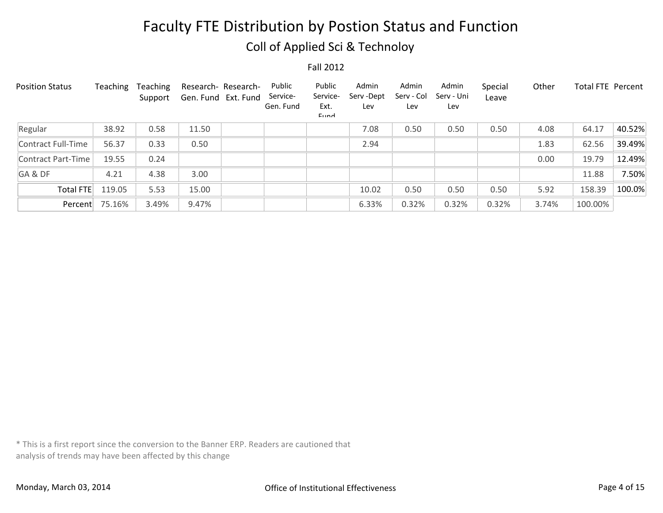## Coll of Applied Sci & Technoloy

Fall 2012

| <b>Position Status</b> | Teaching | Teaching<br>Support | Research-Research-<br>Gen. Fund Ext. Fund | Public<br>Service-<br>Gen. Fund | Public<br>Service-<br>Ext.<br>$E$ <sub>IIM</sub> | Admin<br>Serv -Dept<br>Lev | Admin<br>Serv - Col<br>Lev | Admin<br>Serv - Uni<br>Lev | Special<br>Leave | Other | Total FTE Percent |        |
|------------------------|----------|---------------------|-------------------------------------------|---------------------------------|--------------------------------------------------|----------------------------|----------------------------|----------------------------|------------------|-------|-------------------|--------|
| Regular                | 38.92    | 0.58                | 11.50                                     |                                 |                                                  | 7.08                       | 0.50                       | 0.50                       | 0.50             | 4.08  | 64.17             | 40.52% |
| Contract Full-Time     | 56.37    | 0.33                | 0.50                                      |                                 |                                                  | 2.94                       |                            |                            |                  | 1.83  | 62.56             | 39.49% |
| Contract Part-Time     | 19.55    | 0.24                |                                           |                                 |                                                  |                            |                            |                            |                  | 0.00  | 19.79             | 12.49% |
| GA&DF                  | 4.21     | 4.38                | 3.00                                      |                                 |                                                  |                            |                            |                            |                  |       | 11.88             | 7.50%  |
| <b>Total FTE</b>       | 119.05   | 5.53                | 15.00                                     |                                 |                                                  | 10.02                      | 0.50                       | 0.50                       | 0.50             | 5.92  | 158.39            | 100.0% |
| Percent                | 75.16%   | 3.49%               | 9.47%                                     |                                 |                                                  | 6.33%                      | 0.32%                      | 0.32%                      | 0.32%            | 3.74% | 100.00%           |        |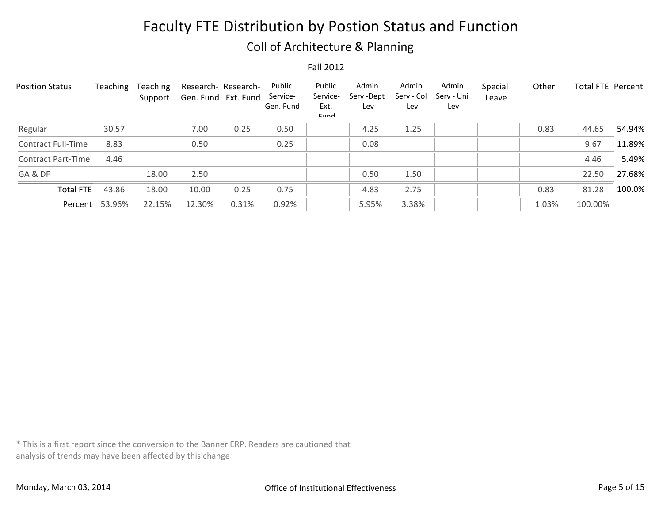## Coll of Architecture & Planning

Fall 2012

| <b>Position Status</b> | Teaching | Teaching<br>Support | Gen. Fund Ext. Fund | Research-Research- | Public<br>Service-<br>Gen. Fund | Public<br>Service-<br>Ext.<br>$E$ <sub>IIM</sub> | Admin<br>Serv -Dept<br>Lev | Admin<br>Serv - Col<br>Lev | Admin<br>Serv - Uni<br>Lev | Special<br>Leave | Other | <b>Total FTE Percent</b> |        |
|------------------------|----------|---------------------|---------------------|--------------------|---------------------------------|--------------------------------------------------|----------------------------|----------------------------|----------------------------|------------------|-------|--------------------------|--------|
| Regular                | 30.57    |                     | 7.00                | 0.25               | 0.50                            |                                                  | 4.25                       | 1.25                       |                            |                  | 0.83  | 44.65                    | 54.94% |
| Contract Full-Time     | 8.83     |                     | 0.50                |                    | 0.25                            |                                                  | 0.08                       |                            |                            |                  |       | 9.67                     | 11.89% |
| Contract Part-Time     | 4.46     |                     |                     |                    |                                 |                                                  |                            |                            |                            |                  |       | 4.46                     | 5.49%  |
| GA&DF                  |          | 18.00               | 2.50                |                    |                                 |                                                  | 0.50                       | 1.50                       |                            |                  |       | 22.50                    | 27.68% |
| Total FTE              | 43.86    | 18.00               | 10.00               | 0.25               | 0.75                            |                                                  | 4.83                       | 2.75                       |                            |                  | 0.83  | 81.28                    | 100.0% |
| Percent                | 53.96%   | 22.15%              | 12.30%              | 0.31%              | 0.92%                           |                                                  | 5.95%                      | 3.38%                      |                            |                  | 1.03% | 100.00%                  |        |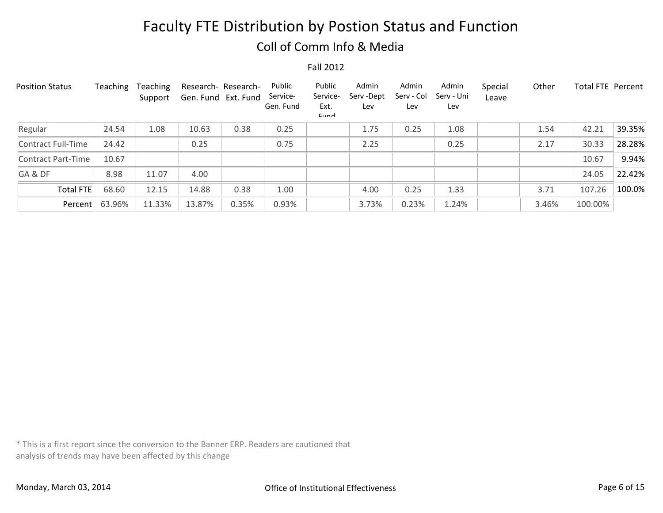## Coll of Comm Info & Media

#### Fall 2012

| <b>Position Status</b> | Teaching | Teaching<br>Support | Gen. Fund Ext. Fund | Research- Research- | Public<br>Service-<br>Gen. Fund | Public<br>Service-<br>Ext.<br>$E$ <sub>IIM</sub> | Admin<br>Serv -Dept<br>Lev | Admin<br>Serv - Col<br>Lev | Admin<br>Serv - Uni<br>Lev | Special<br>Leave | Other | Total FTE Percent |        |
|------------------------|----------|---------------------|---------------------|---------------------|---------------------------------|--------------------------------------------------|----------------------------|----------------------------|----------------------------|------------------|-------|-------------------|--------|
| Regular                | 24.54    | 1.08                | 10.63               | 0.38                | 0.25                            |                                                  | 1.75                       | 0.25                       | 1.08                       |                  | 1.54  | 42.21             | 39.35% |
| Contract Full-Time     | 24.42    |                     | 0.25                |                     | 0.75                            |                                                  | 2.25                       |                            | 0.25                       |                  | 2.17  | 30.33             | 28.28% |
| Contract Part-Time     | 10.67    |                     |                     |                     |                                 |                                                  |                            |                            |                            |                  |       | 10.67             | 9.94%  |
| GA&DF                  | 8.98     | 11.07               | 4.00                |                     |                                 |                                                  |                            |                            |                            |                  |       | 24.05             | 22.42% |
| Total FTE              | 68.60    | 12.15               | 14.88               | 0.38                | 1.00                            |                                                  | 4.00                       | 0.25                       | 1.33                       |                  | 3.71  | 107.26            | 100.0% |
| Percent                | 63.96%   | 11.33%              | 13.87%              | 0.35%               | 0.93%                           |                                                  | 3.73%                      | 0.23%                      | 1.24%                      |                  | 3.46% | 100.00%           |        |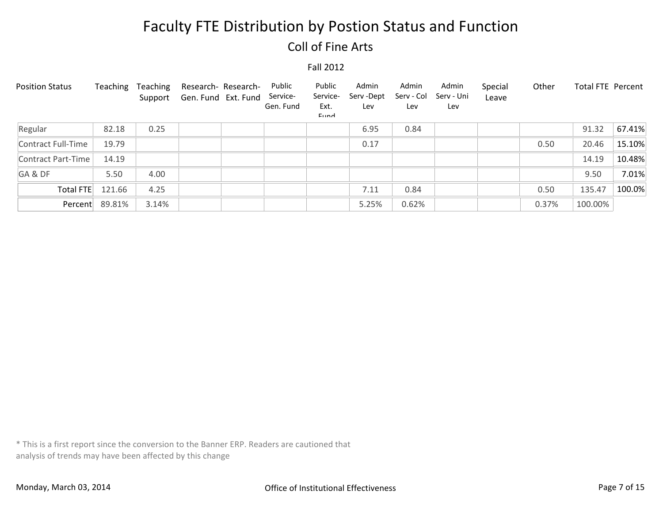## Coll of Fine Arts

#### Fall 2012

| <b>Position Status</b> | Teaching       | Teaching | Support Gen. Fund Ext. Fund | Research- Research- | Public<br>Service-<br>Gen. Fund | Public<br>Service-<br>Ext.<br>Eund | Admin<br>Serv -Dept<br>Lev | Admin<br>Serv - Col<br>Lev | Admin<br>Serv - Uni<br>Lev | Special<br>Leave | Other | Total FTE Percent |        |
|------------------------|----------------|----------|-----------------------------|---------------------|---------------------------------|------------------------------------|----------------------------|----------------------------|----------------------------|------------------|-------|-------------------|--------|
| Regular                | 82.18          | 0.25     |                             |                     |                                 |                                    | 6.95                       | 0.84                       |                            |                  |       | 91.32             | 67.41% |
| Contract Full-Time     | 19.79          |          |                             |                     |                                 |                                    | 0.17                       |                            |                            |                  | 0.50  | 20.46             | 15.10% |
| Contract Part-Time     | 14.19          |          |                             |                     |                                 |                                    |                            |                            |                            |                  |       | 14.19             | 10.48% |
| GA&DF                  | 5.50           | 4.00     |                             |                     |                                 |                                    |                            |                            |                            |                  |       | 9.50              | 7.01%  |
| <b>Total FTE</b>       | 121.66         | 4.25     |                             |                     |                                 |                                    | 7.11                       | 0.84                       |                            |                  | 0.50  | 135.47            | 100.0% |
|                        | Percent 89.81% | 3.14%    |                             |                     |                                 |                                    | 5.25%                      | 0.62%                      |                            |                  | 0.37% | 100.00%           |        |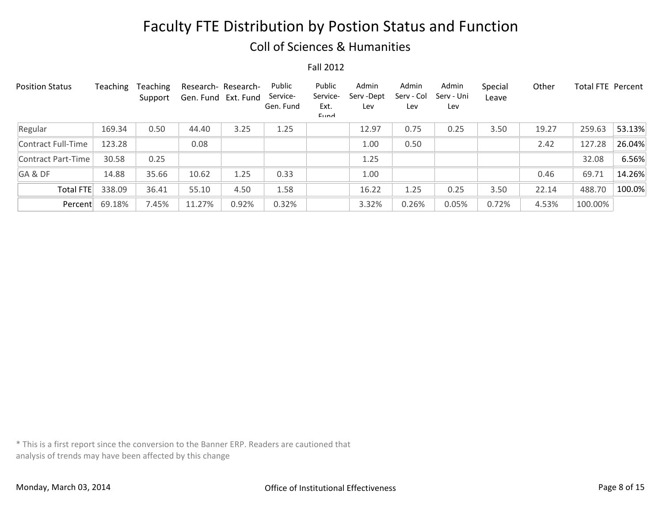### Coll of Sciences & Humanities

Fall 2012

| <b>Position Status</b> | Teaching | Teaching<br>Support | Research-Research-<br>Gen. Fund Ext. Fund |       | Public<br>Service-<br>Gen. Fund | Public<br>Service-<br>Ext.<br>Eund | Admin<br>Serv -Dept<br>Lev | Admin<br>Serv - Col<br>Lev | Admin<br>Serv - Uni<br>Lev | Special<br>Leave | Other | <b>Total FTE Percent</b> |        |
|------------------------|----------|---------------------|-------------------------------------------|-------|---------------------------------|------------------------------------|----------------------------|----------------------------|----------------------------|------------------|-------|--------------------------|--------|
| Regular                | 169.34   | 0.50                | 44.40                                     | 3.25  | 1.25                            |                                    | 12.97                      | 0.75                       | 0.25                       | 3.50             | 19.27 | 259.63                   | 53.13% |
| Contract Full-Time     | 123.28   |                     | 0.08                                      |       |                                 |                                    | 1.00                       | 0.50                       |                            |                  | 2.42  | 127.28                   | 26.04% |
| Contract Part-Time     | 30.58    | 0.25                |                                           |       |                                 |                                    | 1.25                       |                            |                            |                  |       | 32.08                    | 6.56%  |
| GA&DF                  | 14.88    | 35.66               | 10.62                                     | 1.25  | 0.33                            |                                    | 1.00                       |                            |                            |                  | 0.46  | 69.71                    | 14.26% |
| <b>Total FTE</b>       | 338.09   | 36.41               | 55.10                                     | 4.50  | 1.58                            |                                    | 16.22                      | 1.25                       | 0.25                       | 3.50             | 22.14 | 488.70                   | 100.0% |
| Percent                | 69.18%   | 7.45%               | 11.27%                                    | 0.92% | 0.32%                           |                                    | 3.32%                      | 0.26%                      | 0.05%                      | 0.72%            | 4.53% | 100.00%                  |        |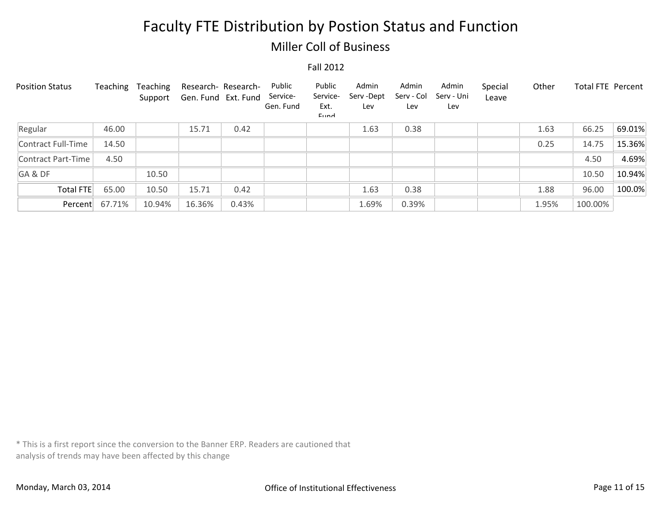## Miller Coll of Business

#### Fall 2012

| <b>Position Status</b> | Teaching       | Teaching<br>Support | Gen. Fund Ext. Fund | Research- Research- | Public<br>Service-<br>Gen. Fund | Public<br>Service-<br>Ext.<br>Eund | Admin<br>Serv -Dept<br>Lev | Admin<br>Serv - Col<br>Lev | Admin<br>Serv - Uni<br>Lev | Special<br>Leave | Other | Total FTE Percent |        |
|------------------------|----------------|---------------------|---------------------|---------------------|---------------------------------|------------------------------------|----------------------------|----------------------------|----------------------------|------------------|-------|-------------------|--------|
| Regular                | 46.00          |                     | 15.71               | 0.42                |                                 |                                    | 1.63                       | 0.38                       |                            |                  | 1.63  | 66.25             | 69.01% |
| Contract Full-Time     | 14.50          |                     |                     |                     |                                 |                                    |                            |                            |                            |                  | 0.25  | 14.75             | 15.36% |
| Contract Part-Time     | 4.50           |                     |                     |                     |                                 |                                    |                            |                            |                            |                  |       | 4.50              | 4.69%  |
| GA&DF                  |                | 10.50               |                     |                     |                                 |                                    |                            |                            |                            |                  |       | 10.50             | 10.94% |
| <b>Total FTE</b>       | 65.00          | 10.50               | 15.71               | 0.42                |                                 |                                    | 1.63                       | 0.38                       |                            |                  | 1.88  | 96.00             | 100.0% |
|                        | Percent 67.71% | 10.94%              | 16.36%              | 0.43%               |                                 |                                    | 1.69%                      | 0.39%                      |                            |                  | 1.95% | 100.00%           |        |